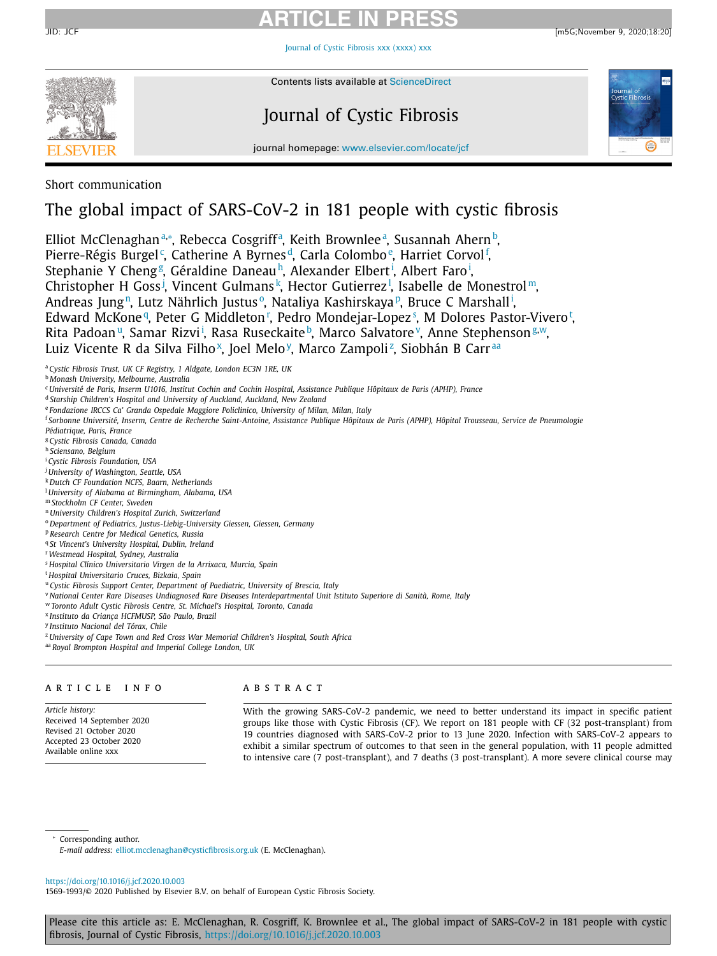Journal of Cystic [Fibrosis](https://doi.org/10.1016/j.jcf.2020.10.003) xxx (xxxx) xxx



Contents lists available at [ScienceDirect](http://www.ScienceDirect.com)

# Journal of Cystic Fibrosis



journal homepage: [www.elsevier.com/locate/jcf](http://www.elsevier.com/locate/jcf)

Short communication

## The global impact of SARS-CoV-2 in 181 people with cystic fibrosis

Elliot McClenaghanª∗, Rebecca Cosgriffª, Keith Brownleeª, Susannah Ahern<sup>b</sup>, Pierre-Régis Burgel<sup>c</sup>, Catherine A Byrnes<sup>d</sup>, Carla Colombo<sup>e</sup>, Harriet Corvol<sup>f</sup>, Stephanie Y Cheng<sup>g</sup>, Géraldine Daneau<sup>h</sup>, Alexander Elbert<sup>i</sup>, Albert Faro<sup>i</sup>, Christopher H Goss<sup>j</sup>, Vincent Gulmans<sup>k</sup>, Hector Gutierrez<sup>1</sup>, Isabelle de Monestrol<sup>m</sup>, Andreas Jung<sup>n</sup>, Lutz Nährlich Justus°, Nataliya Kashirskaya<sup>, p</sup>, Bruce C Marshall<sup>i</sup>, Edward McKone <sup>q</sup>, Peter G Middleton <sup>r</sup>, Pedro Mondejar-Lopez <sup>s</sup>, M Dolores Pastor-Vivero <sup>t</sup>, Rita Padoan<sup>u</sup>, Samar Rizvi<sup>i</sup>, Rasa Ruseckaite<sup>b</sup>, Marco Salvatore<sup>v</sup>, Anne Stephenson<sup>g,w</sup>, Luiz Vicente R da Silva Filho<sup>x</sup>, Joel Melo<sup>y</sup>, Marco Zampoli<sup>z</sup>, Siobhán B Carr<sup>aa</sup>

<sup>a</sup> *Cystic Fibrosis Trust, UK CF Registry, 1 Aldgate, London EC3N 1RE, UK*

<sup>b</sup> *Monash University, Melbourne, Australia*

<sup>c</sup> Université de Paris, Inserm U1016, Institut Cochin and Cochin Hospital, Assistance Publique Hôpitaux de Paris (APHP), France

<sup>d</sup> *Starship Children's Hospital and University of Auckland, Auckland, New Zealand*

<sup>e</sup> *Fondazione IRCCS Ca' Granda Ospedale Maggiore Policlinico, University of Milan, Milan, Italy*

<sup>f</sup> Sorbonne Université, Inserm, Centre de Recherche Saint-Antoine, Assistance Publique Hôpitaux de Paris (APHP), Hôpital Trousseau, Service de Pneumologie

*Pédiatrique, Paris, France*

<sup>g</sup> *Cystic Fibrosis Canada, Canada*

<sup>h</sup> *Sciensano, Belgium*

<sup>i</sup> *Cystic Fibrosis Foundation, USA*

<sup>j</sup> *University of Washington, Seattle, USA*

<sup>k</sup> *Dutch CF Foundation NCFS, Baarn, Netherlands* <sup>l</sup> *University of Alabama at Birmingham, Alabama, USA*

<sup>m</sup> *Stockholm CF Center, Sweden*

<sup>n</sup> *University Children's Hospital Zurich, Switzerland*

<sup>o</sup> *Department of Pediatrics, Justus-Liebig-University Giessen, Giessen, Germany*

<sup>p</sup> *Research Centre for Medical Genetics, Russia*

<sup>q</sup> *St Vincent's University Hospital, Dublin, Ireland*

<sup>r</sup> *Westmead Hospital, Sydney, Australia*

<sup>s</sup> *Hospital Clínico Universitario Virgen de la Arrixaca, Murcia, Spain*

<sup>t</sup> *Hospital Universitario Cruces, Bizkaia, Spain*

<sup>u</sup> *Cystic Fibrosis Support Center, Department of Paediatric, University of Brescia, Italy*

<sup>v</sup> National Center Rare Diseases Undiagnosed Rare Diseases Interdepartmental Unit Istituto Superiore di Sanità, Rome, Italy

<sup>w</sup> *Toronto Adult Cystic Fibrosis Centre, St. Michael's Hospital, Toronto, Canada*

<sup>x</sup> *Instituto da Criança HCFMUSP, São Paulo, Brazil*

<sup>y</sup> *Instituto Nacional del Tórax, Chile*

<sup>z</sup> *University of Cape Town and Red Cross War Memorial Children's Hospital, South Africa*

aa *Royal Brompton Hospital and Imperial College London, UK*

### a r t i c l e i n f o

*Article history:* Received 14 September 2020 Revised 21 October 2020 Accepted 23 October 2020 Available online xxx

### a b s t r a c t

With the growing SARS-CoV-2 pandemic, we need to better understand its impact in specific patient groups like those with Cystic Fibrosis (CF). We report on 181 people with CF (32 post-transplant) from 19 countries diagnosed with SARS-CoV-2 prior to 13 June 2020. Infection with SARS-CoV-2 appears to exhibit a similar spectrum of outcomes to that seen in the general population, with 11 people admitted to intensive care (7 post-transplant), and 7 deaths (3 post-transplant). A more severe clinical course may

<sup>∗</sup> Corresponding author.

*E-mail address:* [elliot.mcclenaghan@cysticfibrosis.org.uk](mailto:elliot.mcclenaghan@cysticfibrosis.org.uk) (E. McClenaghan).

<https://doi.org/10.1016/j.jcf.2020.10.003>

1569-1993/© 2020 Published by Elsevier B.V. on behalf of European Cystic Fibrosis Society.

Please cite this article as: E. McClenaghan, R. Cosgriff, K. Brownlee et al., The global impact of SARS-CoV-2 in 181 people with cystic fibrosis, Journal of Cystic Fibrosis, <https://doi.org/10.1016/j.jcf.2020.10.003>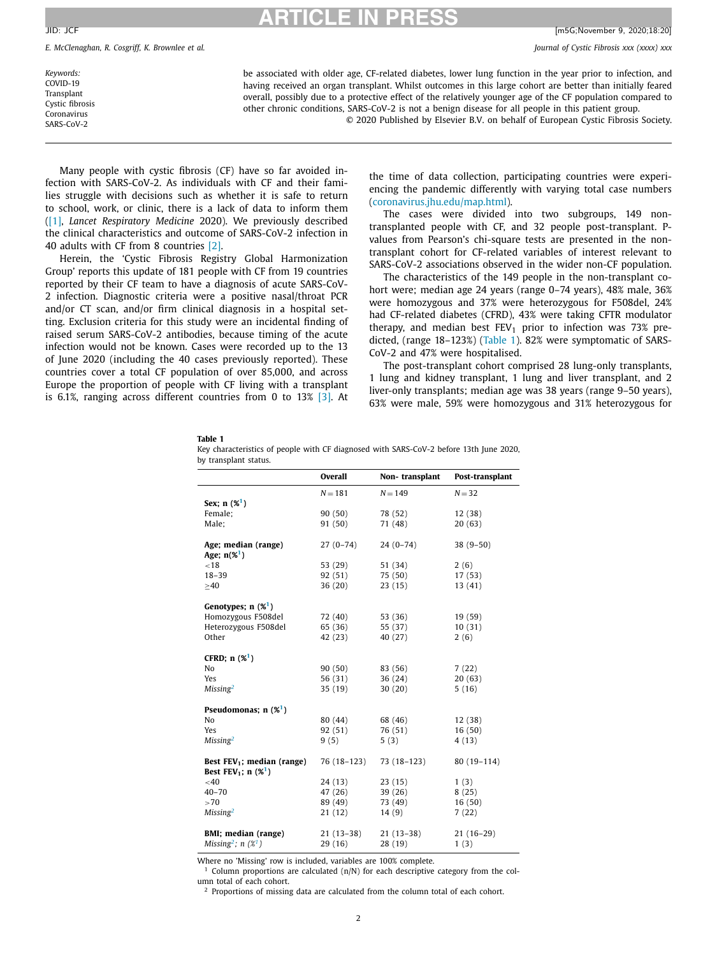<span id="page-1-0"></span>JID: JCF [m5G;November 9, 2020;18:20]

*E. McClenaghan, R. Cosgriff, K. Brownlee et al. Journal of Cystic Fibrosis xxx (xxxx) xxx*

*Keywords:* COVID-19 Transplant Cystic fibrosis Coronavirus SARS-CoV-2

be associated with older age, CF-related diabetes, lower lung function in the year prior to infection, and having received an organ transplant. Whilst outcomes in this large cohort are better than initially feared overall, possibly due to a protective effect of the relatively younger age of the CF population compared to other chronic conditions, SARS-CoV-2 is not a benign disease for all people in this patient group.

© 2020 Published by Elsevier B.V. on behalf of European Cystic Fibrosis Society.

Many people with cystic fibrosis (CF) have so far avoided infection with SARS-CoV-2. As individuals with CF and their families struggle with decisions such as whether it is safe to return to school, work, or clinic, there is a lack of data to inform them [\(\[1\],](#page-3-0) *Lancet Respiratory Medicine* 2020). We previously described the clinical characteristics and outcome of SARS-CoV-2 infection in 40 adults with CF from 8 countries [\[2\].](#page-3-0)

Herein, the 'Cystic Fibrosis Registry Global Harmonization Group' reports this update of 181 people with CF from 19 countries reported by their CF team to have a diagnosis of acute SARS-CoV-2 infection. Diagnostic criteria were a positive nasal/throat PCR and/or CT scan, and/or firm clinical diagnosis in a hospital setting. Exclusion criteria for this study were an incidental finding of raised serum SARS-CoV-2 antibodies, because timing of the acute infection would not be known. Cases were recorded up to the 13 of June 2020 (including the 40 cases previously reported). These countries cover a total CF population of over 85,000, and across Europe the proportion of people with CF living with a transplant is 6.1%, ranging across different countries from 0 to 13% [\[3\].](#page-3-0) At

the time of data collection, participating countries were experiencing the pandemic differently with varying total case numbers [\(coronavirus.jhu.edu/map.html\)](https://coronavirus.jhu.edu/map.html).

The cases were divided into two subgroups, 149 nontransplanted people with CF, and 32 people post-transplant. Pvalues from Pearson's chi-square tests are presented in the nontransplant cohort for CF-related variables of interest relevant to SARS-CoV-2 associations observed in the wider non-CF population.

The characteristics of the 149 people in the non-transplant cohort were; median age 24 years (range 0–74 years), 48% male, 36% were homozygous and 37% were heterozygous for F508del, 24% had CF-related diabetes (CFRD), 43% were taking CFTR modulator therapy, and median best  $FEV_1$  prior to infection was 73% predicted, (range 18–123%) (Table 1). 82% were symptomatic of SARS-CoV-2 and 47% were hospitalised.

The post-transplant cohort comprised 28 lung-only transplants, 1 lung and kidney transplant, 1 lung and liver transplant, and 2 liver-only transplants; median age was 38 years (range 9–50 years), 63% were male, 59% were homozygous and 31% heterozygous for

#### **Table 1**

| Key characteristics of people with CF diagnosed with SARS-CoV-2 before 13th June 2020, |  |  |  |  |  |
|----------------------------------------------------------------------------------------|--|--|--|--|--|
| by transplant status.                                                                  |  |  |  |  |  |

|                                                           | Overall     | Non-transplant | Post-transplant |
|-----------------------------------------------------------|-------------|----------------|-----------------|
|                                                           | $N = 181$   | $N = 149$      | $N = 32$        |
| Sex; $n(%)^1$                                             |             |                |                 |
| Female;                                                   | 90(50)      | 78 (52)        | 12(38)          |
| Male;                                                     | 91 (50)     | 71 (48)        | 20(63)          |
|                                                           |             |                |                 |
| Age; median (range)                                       | $27(0-74)$  | $24(0-74)$     | $38(9-50)$      |
| Age; $n(\frac{1}{6})$                                     |             |                |                 |
| < 18                                                      | 53 (29)     | 51 (34)        | 2(6)            |
| $18 - 39$                                                 | 92 (51)     | 75 (50)        | 17(53)          |
| >40                                                       | 36(20)      | 23(15)         | 13(41)          |
|                                                           |             |                |                 |
| Genotypes; $n$ (% <sup>1</sup> )                          |             |                |                 |
| Homozygous F508del                                        | 72 (40)     | 53 (36)        | 19 (59)         |
| Heterozygous F508del                                      | 65 (36)     | 55 (37)        | 10(31)          |
| Other                                                     | 42 (23)     | 40 (27)        | 2(6)            |
|                                                           |             |                |                 |
| CFRD; $n($ % <sup>1</sup> )                               |             |                |                 |
| No                                                        | 90(50)      | 83 (56)        | 7(22)           |
| Yes                                                       | 56 (31)     | 36(24)         | 20(63)          |
| Missing <sup>2</sup>                                      | 35(19)      | 30(20)         | 5(16)           |
| Pseudomonas; $n$ (% <sup>1</sup> )                        |             |                |                 |
| No                                                        | 80 (44)     | 68 (46)        | 12(38)          |
| Yes                                                       | 92 (51)     | 76 (51)        | 16(50)          |
| Missing <sup>2</sup>                                      | 9(5)        | 5(3)           | 4 (13)          |
|                                                           |             |                |                 |
| Best $FEV_1$ ; median (range)                             | 76 (18-123) | $73(18-123)$   | 80 (19-114)     |
| <b>Best FEV<sub>1</sub></b> ; $n(%)$                      |             |                |                 |
| $<$ 40                                                    | 24 (13)     | 23(15)         | 1(3)            |
| $40 - 70$                                                 | 47 (26)     | 39(26)         | 8(25)           |
| >70                                                       | 89 (49)     | 73 (49)        | 16(50)          |
| Missing <sup>2</sup>                                      | 21(12)      | 14(9)          | 7(22)           |
|                                                           |             |                |                 |
| BMI; median (range)                                       | 21 (13–38)  | $21(13-38)$    | $21(16-29)$     |
| Missing <sup>2</sup> ; $n$ ( $\mathscr{X}$ <sup>1</sup> ) | 29 (16)     | 28(19)         | 1(3)            |
|                                                           |             |                |                 |

Where no 'Missing' row is included, variables are 100% complete.

 $1$  Column proportions are calculated (n/N) for each descriptive category from the column total of each cohort.

 $2$  Proportions of missing data are calculated from the column total of each cohort.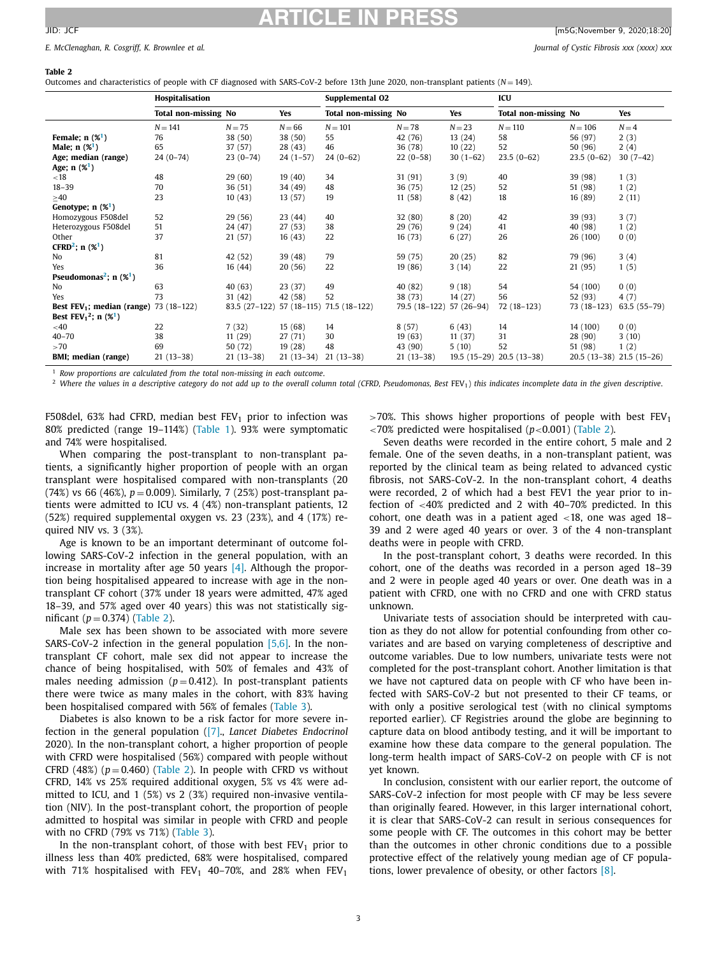#### **Table 2**

Outcomes and characteristics of people with CF diagnosed with SARS-CoV-2 before 13th June 2020, non-transplant patients (*N* = 149).

|                                                        | Hospitalisation      |               |              | Supplemental O2      |               |            | ICU                         |              |                           |
|--------------------------------------------------------|----------------------|---------------|--------------|----------------------|---------------|------------|-----------------------------|--------------|---------------------------|
|                                                        | Total non-missing No |               | Yes          | Total non-missing No |               | <b>Yes</b> | <b>Total non-missing No</b> |              | Yes                       |
|                                                        | $N = 141$            | $N = 75$      | $N = 66$     | $N = 101$            | $N = 78$      | $N = 23$   | $N = 110$                   | $N = 106$    | $N = 4$                   |
| Female; $n$ (% <sup>1</sup> )                          | 76                   | 38 (50)       | 38 (50)      | 55                   | 42 (76)       | 13(24)     | 58                          | 56 (97)      | 2(3)                      |
| Male; $n(%)$                                           | 65                   | 37 (57)       | 28(43)       | 46                   | 36 (78)       | 10(22)     | 52                          | 50 (96)      | 2(4)                      |
| Age; median (range)                                    | $24(0-74)$           | $23(0-74)$    | $24(1-57)$   | $24(0-62)$           | $22(0-58)$    | $30(1-62)$ | $23.5(0-62)$                | $23.5(0-62)$ | $30(7-42)$                |
| Age; $n(%)$                                            |                      |               |              |                      |               |            |                             |              |                           |
| < 18                                                   | 48                   | 29(60)        | 19(40)       | 34                   | 31(91)        | 3(9)       | 40                          | 39 (98)      | 1(3)                      |
| $18 - 39$                                              | 70                   | 36(51)        | 34 (49)      | 48                   | 36 (75)       | 12(25)     | 52                          | 51 (98)      | 1(2)                      |
| >40                                                    | 23                   | 10(43)        | 13(57)       | 19                   | 11(58)        | 8(42)      | 18                          | 16(89)       | 2(11)                     |
| Genotype; $n$ (% <sup>1</sup> )                        |                      |               |              |                      |               |            |                             |              |                           |
| Homozygous F508del                                     | 52                   | 29(56)        | 23(44)       | 40                   | 32(80)        | 8(20)      | 42                          | 39 (93)      | 3(7)                      |
| Heterozygous F508del                                   | 51                   | 24 (47)       | 27(53)       | 38                   | 29 (76)       | 9(24)      | 41                          | 40 (98)      | 1(2)                      |
| Other                                                  | 37                   | 21(57)        | 16(43)       | 22                   | 16(73)        | 6(27)      | 26                          | 26 (100)     | 0(0)                      |
| CFRD <sup>2</sup> ; $n$ (% <sup>1</sup> )              |                      |               |              |                      |               |            |                             |              |                           |
| No                                                     | 81                   | 42 (52)       | 39 (48)      | 79                   | 59 (75)       | 20(25)     | 82                          | 79 (96)      | 3(4)                      |
| Yes                                                    | 36                   | 16(44)        | 20(56)       | 22                   | 19(86)        | 3(14)      | 22                          | 21 (95)      | 1(5)                      |
| Pseudomonas <sup>2</sup> ; $n$ (% <sup>1</sup> )       |                      |               |              |                      |               |            |                             |              |                           |
| No                                                     | 63                   | 40(63)        | 23(37)       | 49                   | 40 (82)       | 9(18)      | 54                          | 54 (100)     | 0(0)                      |
| Yes                                                    | 73                   | 31(42)        | 42 (58)      | 52                   | 38 (73)       | 14(27)     | 56                          | 52 (93)      | 4(7)                      |
| Best $FEV_1$ ; median (range)                          | 73 (18-122)          | 83.5 (27-122) | $57(18-115)$ | $71.5(18-122)$       | 79.5 (18-122) | 57 (26-94) | 72 (18-123)                 | 73 (18-123)  | 63.5 (55-79)              |
| Best FEV <sub>1</sub> <sup>2</sup> ; n $(\frac{1}{2})$ |                      |               |              |                      |               |            |                             |              |                           |
| $<$ 40                                                 | 22                   | 7(32)         | 15(68)       | 14                   | 8(57)         | 6(43)      | 14                          | 14 (100)     | 0(0)                      |
| $40 - 70$                                              | 38                   | 11(29)        | 27(71)       | 30                   | 19(63)        | 11(37)     | 31                          | 28 (90)      | 3(10)                     |
| >70                                                    | 69                   | 50 (72)       | 19(28)       | 48                   | 43 (90)       | 5(10)      | 52                          | 51 (98)      | 1(2)                      |
| BMI; median (range)                                    | $21(13-38)$          | $21(13-38)$   | $21(13-34)$  | $21(13-38)$          | $21(13-38)$   |            | 19.5 (15-29) 20.5 (13-38)   |              | 20.5 (13-38) 21.5 (15-26) |

<sup>1</sup> *Row proportions are calculated from the total non-missing in each outcome*.

<sup>2</sup> Where the values in a descriptive category do not add up to the overall column total (CFRD, Pseudomonas, Best FEV<sub>1</sub>) this indicates incomplete data in the given descriptive.

F508del, 63% had CFRD, median best  $FEV<sub>1</sub>$  prior to infection was 80% predicted (range 19–114%) [\(Table](#page-1-0) 1). 93% were symptomatic and 74% were hospitalised.

When comparing the post-transplant to non-transplant patients, a significantly higher proportion of people with an organ transplant were hospitalised compared with non-transplants (20 (74%) vs 66 (46%),  $p = 0.009$ ). Similarly, 7 (25%) post-transplant patients were admitted to ICU vs. 4 (4%) non-transplant patients, 12 (52%) required supplemental oxygen vs. 23 (23%), and 4 (17%) required NIV vs. 3 (3%).

Age is known to be an important determinant of outcome following SARS-CoV-2 infection in the general population, with an increase in mortality after age 50 years  $[4]$ . Although the proportion being hospitalised appeared to increase with age in the nontransplant CF cohort (37% under 18 years were admitted, 47% aged 18–39, and 57% aged over 40 years) this was not statistically significant  $(p = 0.374)$  (Table 2).

Male sex has been shown to be associated with more severe SARS-CoV-2 infection in the general population  $[5,6]$ . In the nontransplant CF cohort, male sex did not appear to increase the chance of being hospitalised, with 50% of females and 43% of males needing admission  $(p=0.412)$ . In post-transplant patients there were twice as many males in the cohort, with 83% having been hospitalised compared with 56% of females [\(Table](#page-3-0) 3).

Diabetes is also known to be a risk factor for more severe infection in the general population [\(\[7\].](#page-3-0), *Lancet Diabetes Endocrinol* 2020). In the non-transplant cohort, a higher proportion of people with CFRD were hospitalised (56%) compared with people without CFRD  $(48%)$   $(p=0.460)$  (Table 2). In people with CFRD vs without CFRD, 14% vs 25% required additional oxygen, 5% vs 4% were admitted to ICU, and 1 (5%) vs 2 (3%) required non-invasive ventilation (NIV). In the post-transplant cohort, the proportion of people admitted to hospital was similar in people with CFRD and people with no CFRD (79% vs 71%) [\(Table](#page-3-0) 3).

In the non-transplant cohort, of those with best  $FEV<sub>1</sub>$  prior to illness less than 40% predicted, 68% were hospitalised, compared with 71% hospitalised with  $FEV_1$  40–70%, and 28% when  $FEV_1$ 

 $>70\%$ . This shows higher proportions of people with best FEV<sub>1</sub> <70% predicted were hospitalised (*p*<0.001) (Table 2).

Seven deaths were recorded in the entire cohort, 5 male and 2 female. One of the seven deaths, in a non-transplant patient, was reported by the clinical team as being related to advanced cystic fibrosis, not SARS-CoV-2. In the non-transplant cohort, 4 deaths were recorded, 2 of which had a best FEV1 the year prior to infection of <40% predicted and 2 with 40–70% predicted. In this cohort, one death was in a patient aged <18, one was aged 18– 39 and 2 were aged 40 years or over. 3 of the 4 non-transplant deaths were in people with CFRD.

In the post-transplant cohort, 3 deaths were recorded. In this cohort, one of the deaths was recorded in a person aged 18–39 and 2 were in people aged 40 years or over. One death was in a patient with CFRD, one with no CFRD and one with CFRD status unknown.

Univariate tests of association should be interpreted with caution as they do not allow for potential confounding from other covariates and are based on varying completeness of descriptive and outcome variables. Due to low numbers, univariate tests were not completed for the post-transplant cohort. Another limitation is that we have not captured data on people with CF who have been infected with SARS-CoV-2 but not presented to their CF teams, or with only a positive serological test (with no clinical symptoms reported earlier). CF Registries around the globe are beginning to capture data on blood antibody testing, and it will be important to examine how these data compare to the general population. The long-term health impact of SARS-CoV-2 on people with CF is not yet known.

In conclusion, consistent with our earlier report, the outcome of SARS-CoV-2 infection for most people with CF may be less severe than originally feared. However, in this larger international cohort, it is clear that SARS-CoV-2 can result in serious consequences for some people with CF. The outcomes in this cohort may be better than the outcomes in other chronic conditions due to a possible protective effect of the relatively young median age of CF populations, lower prevalence of obesity, or other factors [\[8\].](#page-3-0)